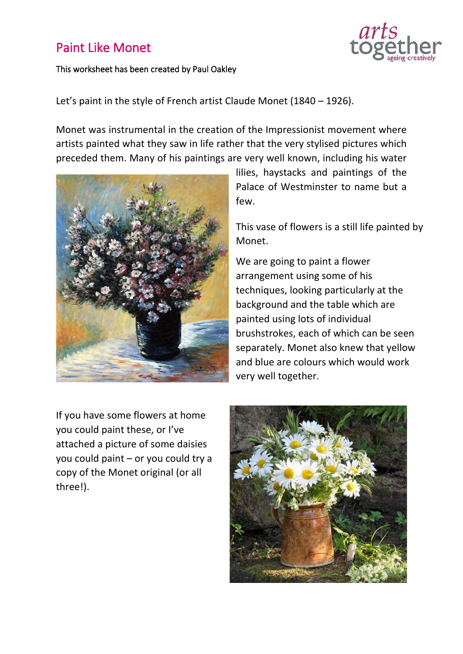## Paint Like Monet

## This worksheet has been created by Paul Oakley



Let's paint in the style of French artist Claude Monet (1840 – 1926).

Monet was instrumental in the creation of the Impressionist movement where artists painted what they saw in life rather that the very stylised pictures which preceded them. Many of his paintings are very well known, including his water



lilies, haystacks and paintings of the Palace of Westminster to name but a few.

This vase of flowers is a still life painted by Monet.

We are going to paint a flower arrangement using some of his techniques, looking particularly at the background and the table which are painted using lots of individual brushstrokes, each of which can be seen separately. Monet also knew that yellow and blue are colours which would work very well together.

If you have some flowers at home you could paint these, or I've attached a picture of some daisies you could paint – or you could try a copy of the Monet original (or all three!).

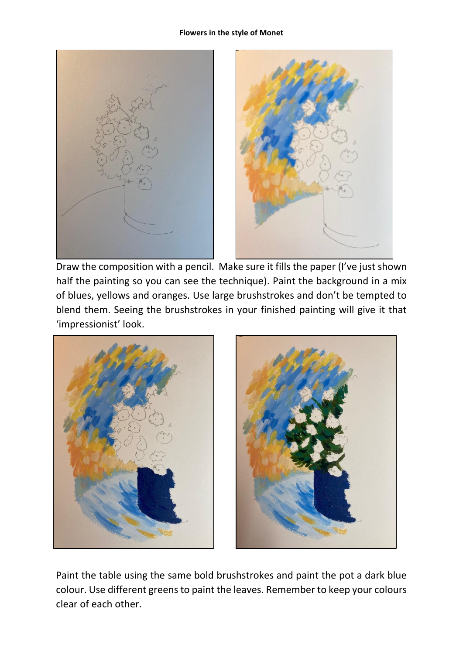## **Flowers in the style of Monet**



Draw the composition with a pencil. Make sure it fills the paper (I've just shown half the painting so you can see the technique). Paint the background in a mix of blues, yellows and oranges. Use large brushstrokes and don't be tempted to blend them. Seeing the brushstrokes in your finished painting will give it that 'impressionist' look.



Paint the table using the same bold brushstrokes and paint the pot a dark blue colour. Use different greens to paint the leaves. Remember to keep your colours clear of each other.